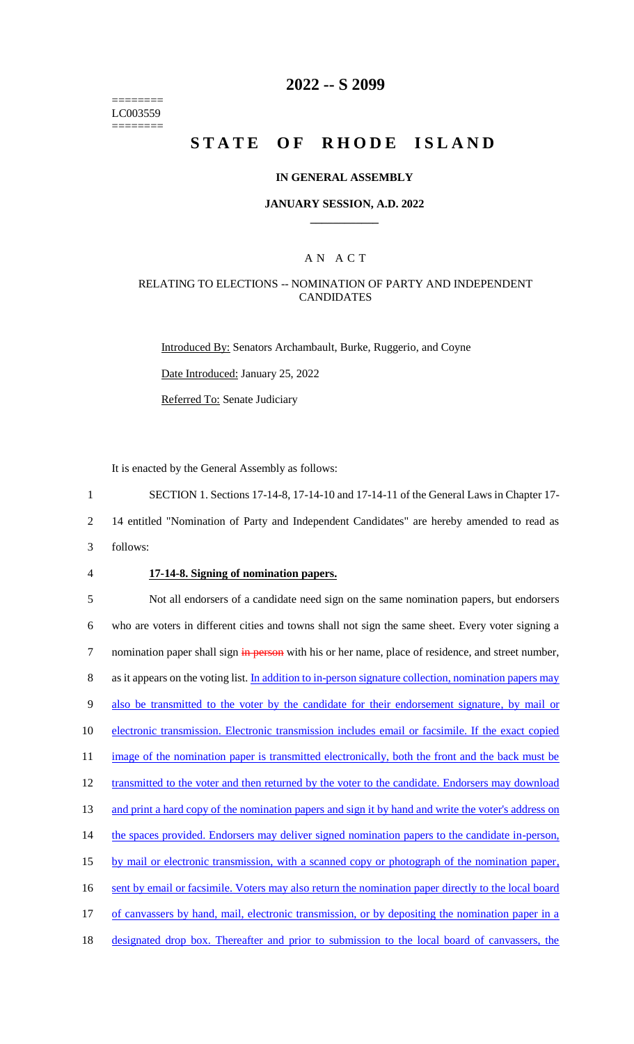======== LC003559 ========

### **2022 -- S 2099**

# **STATE OF RHODE ISLAND**

#### **IN GENERAL ASSEMBLY**

#### **JANUARY SESSION, A.D. 2022 \_\_\_\_\_\_\_\_\_\_\_\_**

#### A N A C T

#### RELATING TO ELECTIONS -- NOMINATION OF PARTY AND INDEPENDENT CANDIDATES

Introduced By: Senators Archambault, Burke, Ruggerio, and Coyne

Date Introduced: January 25, 2022

Referred To: Senate Judiciary

It is enacted by the General Assembly as follows:

1 SECTION 1. Sections 17-14-8, 17-14-10 and 17-14-11 of the General Laws in Chapter 17-

2 14 entitled "Nomination of Party and Independent Candidates" are hereby amended to read as

- 3 follows:
- 

#### 4 **17-14-8. Signing of nomination papers.**

5 Not all endorsers of a candidate need sign on the same nomination papers, but endorsers 6 who are voters in different cities and towns shall not sign the same sheet. Every voter signing a 7 nomination paper shall sign in person with his or her name, place of residence, and street number, 8 as it appears on the voting list. In addition to in-person signature collection, nomination papers may 9 also be transmitted to the voter by the candidate for their endorsement signature, by mail or 10 electronic transmission. Electronic transmission includes email or facsimile. If the exact copied 11 image of the nomination paper is transmitted electronically, both the front and the back must be 12 transmitted to the voter and then returned by the voter to the candidate. Endorsers may download 13 and print a hard copy of the nomination papers and sign it by hand and write the voter's address on 14 the spaces provided. Endorsers may deliver signed nomination papers to the candidate in-person, 15 by mail or electronic transmission, with a scanned copy or photograph of the nomination paper, 16 sent by email or facsimile. Voters may also return the nomination paper directly to the local board 17 of canvassers by hand, mail, electronic transmission, or by depositing the nomination paper in a 18 designated drop box. Thereafter and prior to submission to the local board of canvassers, the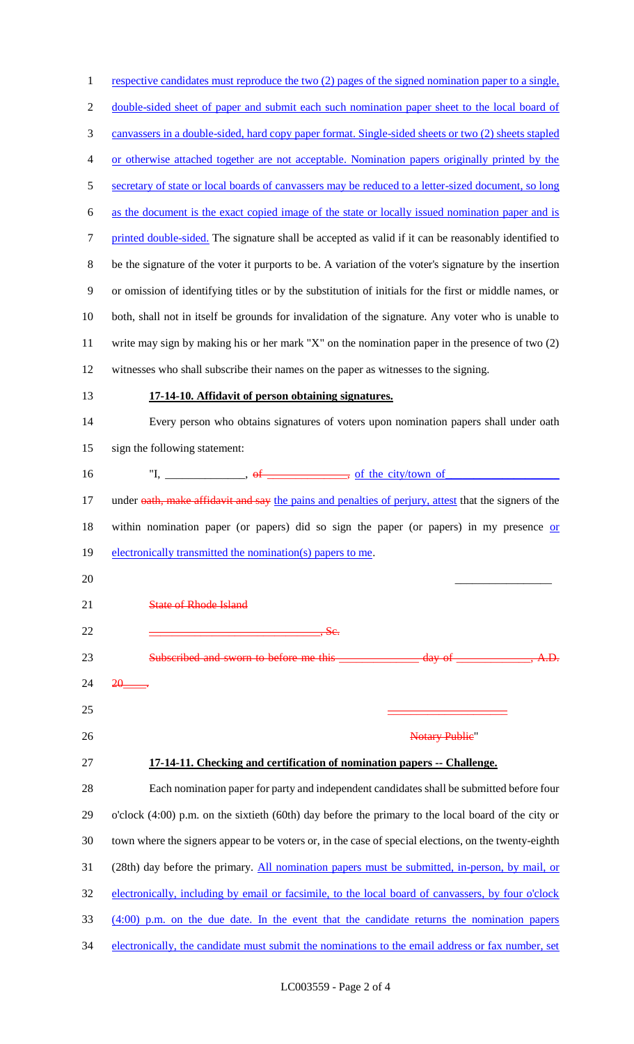| $\mathbf{1}$   | respective candidates must reproduce the two (2) pages of the signed nomination paper to a single,                   |
|----------------|----------------------------------------------------------------------------------------------------------------------|
| $\overline{c}$ | double-sided sheet of paper and submit each such nomination paper sheet to the local board of                        |
| 3              | canvassers in a double-sided, hard copy paper format. Single-sided sheets or two (2) sheets stapled                  |
| 4              | or otherwise attached together are not acceptable. Nomination papers originally printed by the                       |
| 5              | secretary of state or local boards of canvassers may be reduced to a letter-sized document, so long                  |
| 6              | as the document is the exact copied image of the state or locally issued nomination paper and is                     |
| $\tau$         | printed double-sided. The signature shall be accepted as valid if it can be reasonably identified to                 |
| $8\,$          | be the signature of the voter it purports to be. A variation of the voter's signature by the insertion               |
| 9              | or omission of identifying titles or by the substitution of initials for the first or middle names, or               |
| 10             | both, shall not in itself be grounds for invalidation of the signature. Any voter who is unable to                   |
| 11             | write may sign by making his or her mark "X" on the nomination paper in the presence of two $(2)$                    |
| 12             | witnesses who shall subscribe their names on the paper as witnesses to the signing.                                  |
| 13             | 17-14-10. Affidavit of person obtaining signatures.                                                                  |
| 14             | Every person who obtains signatures of voters upon nomination papers shall under oath                                |
| 15             | sign the following statement:                                                                                        |
| 16             |                                                                                                                      |
| 17             | under oath, make affidavit and say the pains and penalties of perjury, attest that the signers of the                |
| 18             | within nomination paper (or papers) did so sign the paper (or papers) in my presence or                              |
| 19             | electronically transmitted the nomination(s) papers to me.                                                           |
| 20             |                                                                                                                      |
| 21             | <b>State of Rhode Island</b>                                                                                         |
| 22             | <u> 1980 - Jan Barnett, mars eta bat erroman erroman erroman erroman erroman erroman erroman erroman erroman err</u> |
| 23             | Subscribed and sworn to before me this<br><u>day of</u>                                                              |
| 24             | 20-                                                                                                                  |
| 25             |                                                                                                                      |
| 26             | <b>Notary Publie"</b>                                                                                                |
| 27             | 17-14-11. Checking and certification of nomination papers -- Challenge.                                              |
| 28             | Each nomination paper for party and independent candidates shall be submitted before four                            |
| 29             | o'clock (4:00) p.m. on the sixtieth (60th) day before the primary to the local board of the city or                  |
| 30             | town where the signers appear to be voters or, in the case of special elections, on the twenty-eighth                |
| 31             | (28th) day before the primary. All nomination papers must be submitted, in-person, by mail, or                       |
| 32             | electronically, including by email or facsimile, to the local board of canvassers, by four o'clock                   |
| 33             | $(4:00)$ p.m. on the due date. In the event that the candidate returns the nomination papers                         |
| 34             | electronically, the candidate must submit the nominations to the email address or fax number, set                    |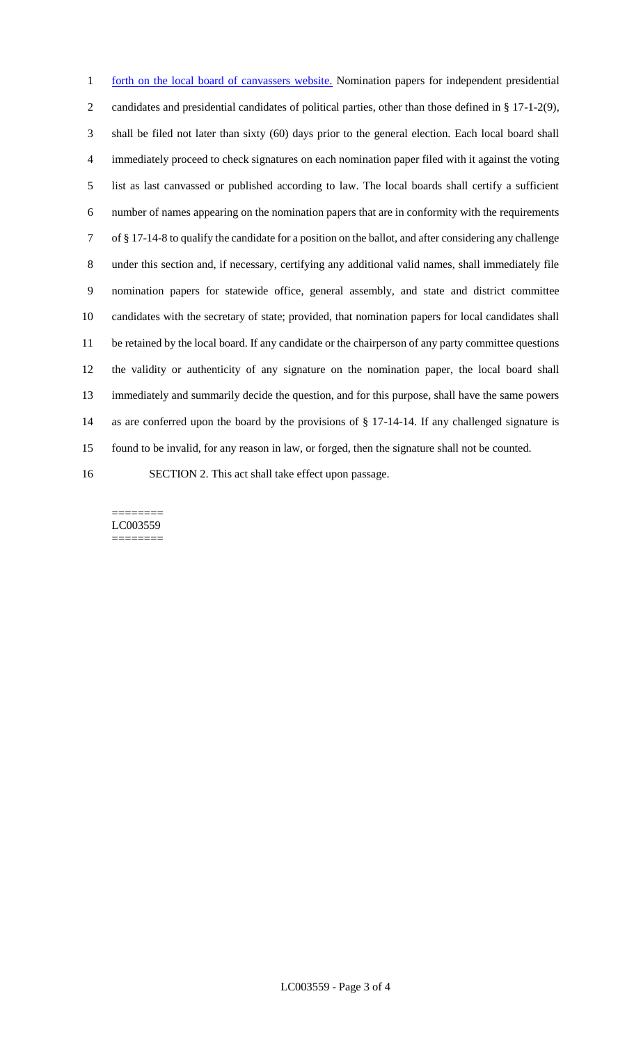1 forth on the local board of canvassers website. Nomination papers for independent presidential candidates and presidential candidates of political parties, other than those defined in § 17-1-2(9), shall be filed not later than sixty (60) days prior to the general election. Each local board shall immediately proceed to check signatures on each nomination paper filed with it against the voting list as last canvassed or published according to law. The local boards shall certify a sufficient number of names appearing on the nomination papers that are in conformity with the requirements of § 17-14-8 to qualify the candidate for a position on the ballot, and after considering any challenge under this section and, if necessary, certifying any additional valid names, shall immediately file nomination papers for statewide office, general assembly, and state and district committee candidates with the secretary of state; provided, that nomination papers for local candidates shall be retained by the local board. If any candidate or the chairperson of any party committee questions the validity or authenticity of any signature on the nomination paper, the local board shall immediately and summarily decide the question, and for this purpose, shall have the same powers as are conferred upon the board by the provisions of § 17-14-14. If any challenged signature is found to be invalid, for any reason in law, or forged, then the signature shall not be counted. SECTION 2. This act shall take effect upon passage.

======== LC003559 ========